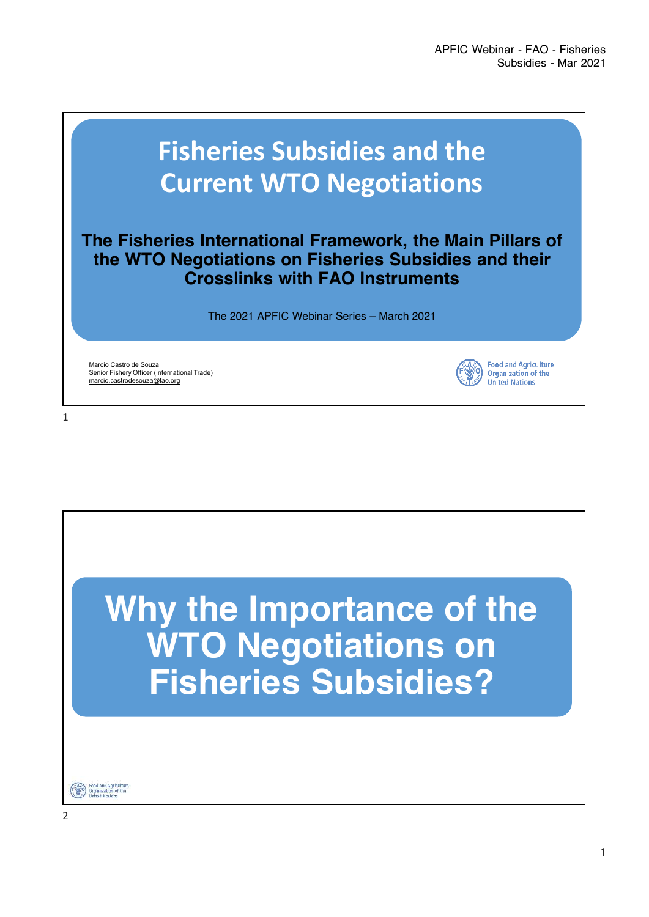**Food and Agriculture Organization of the United Nations** 

## **Fisheries Subsidies and the Current WTO Negotiations**

## The Fisheries International Framework, the Main Pillars of the WTO Negotiations on Fisheries Subsidies and their Crosslinks with FAO Instruments

The 2021 APFIC Webinar Series – March 2021

Marcio Castro de Souza Senior Fishery Officer (International Trade) marcio.castrodesouza@fao.org

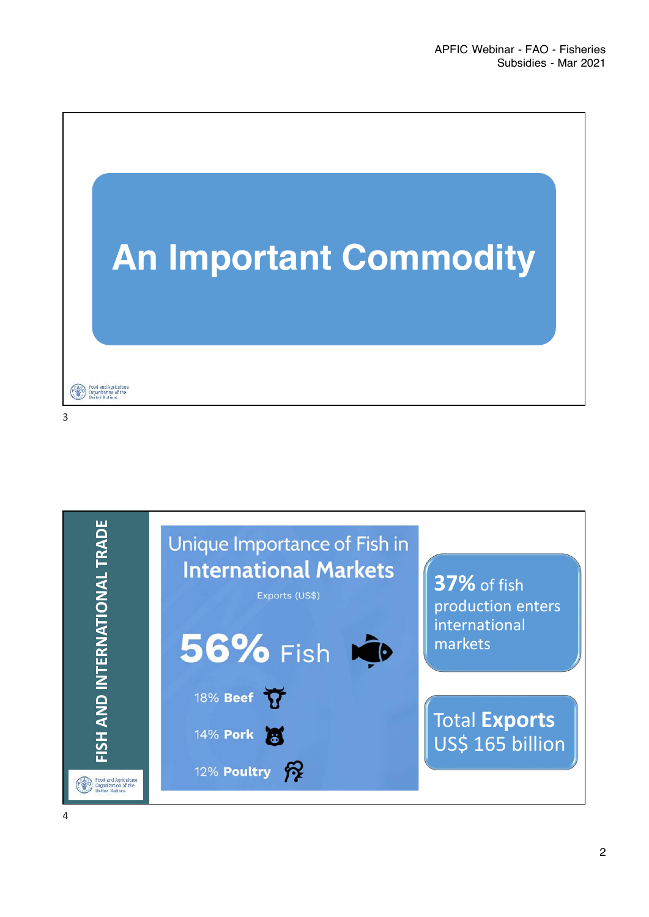

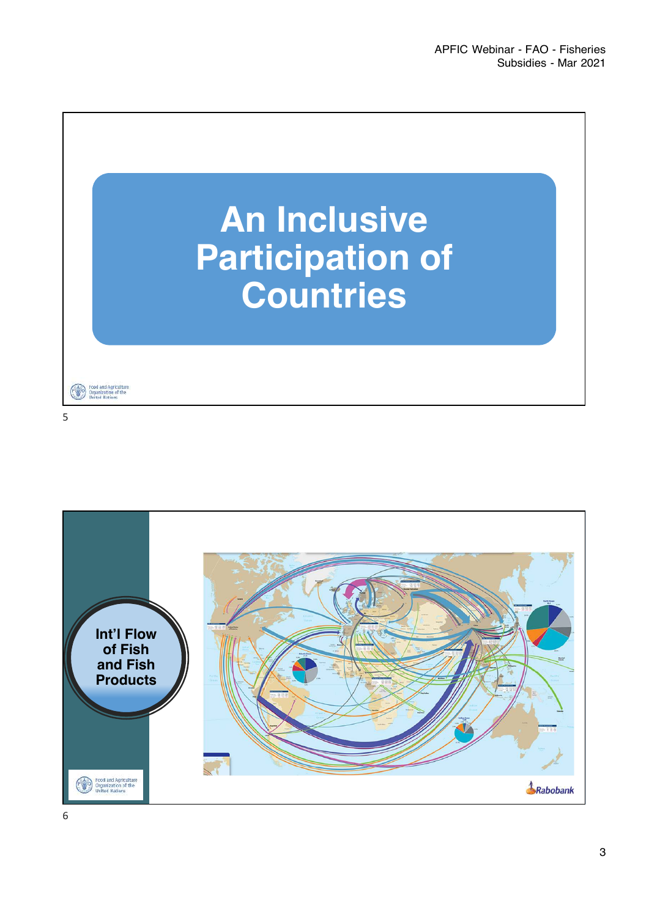

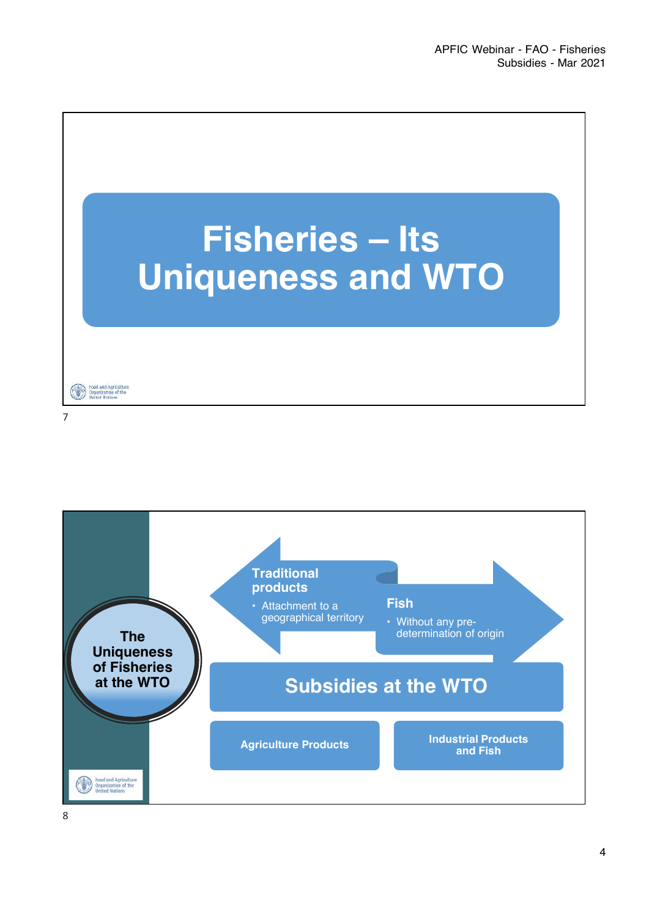

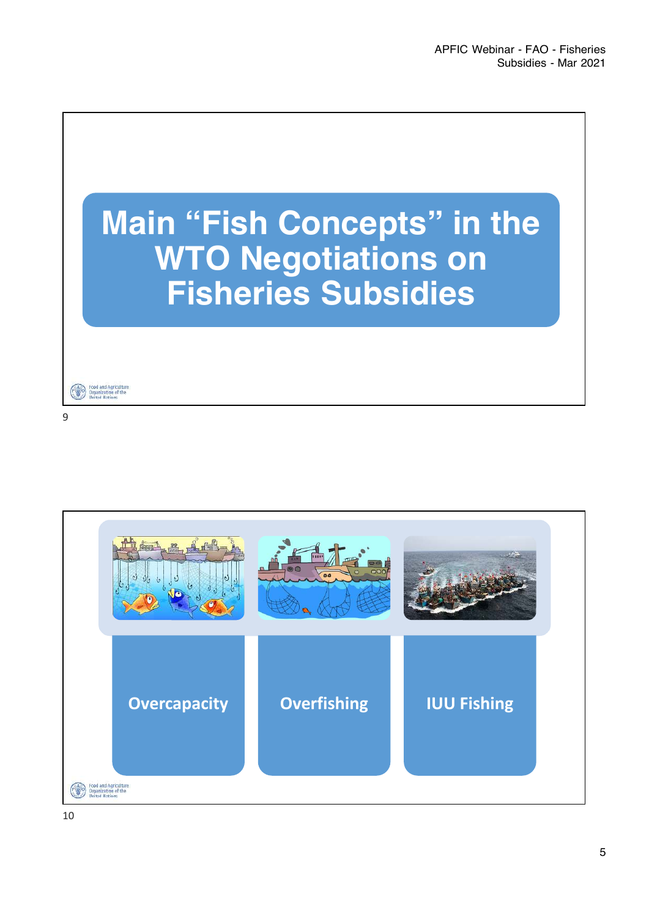



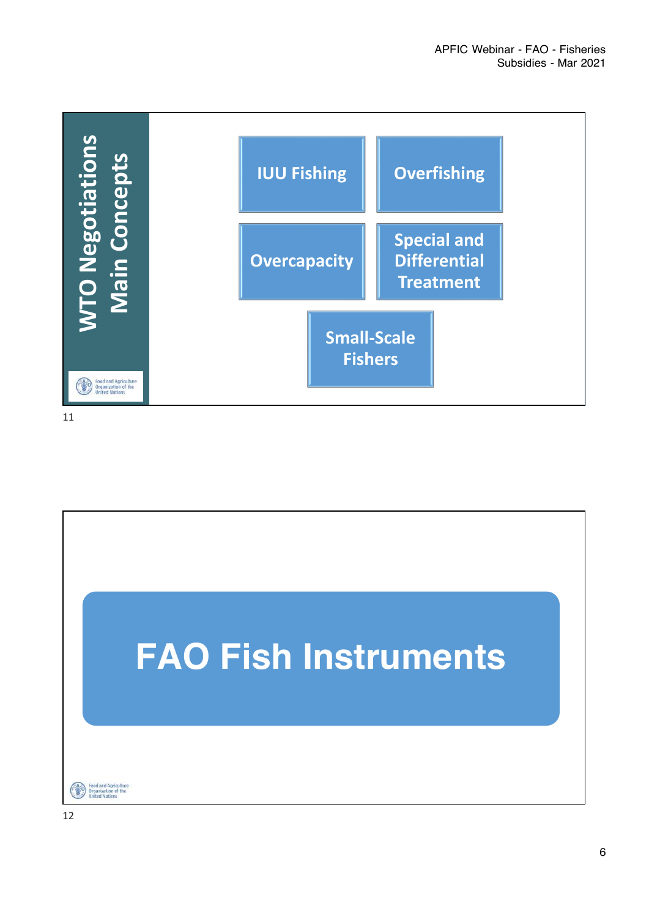

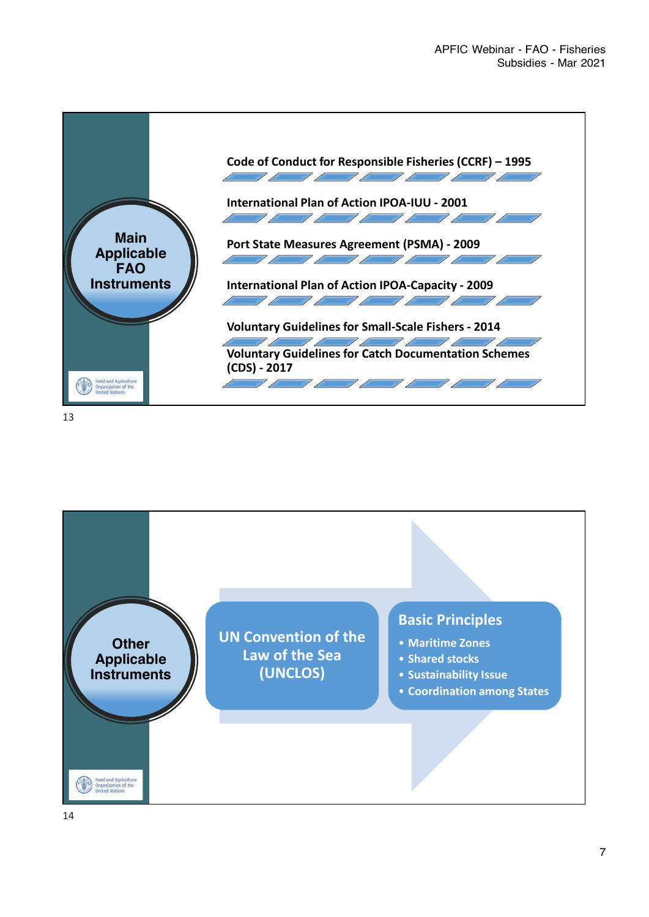

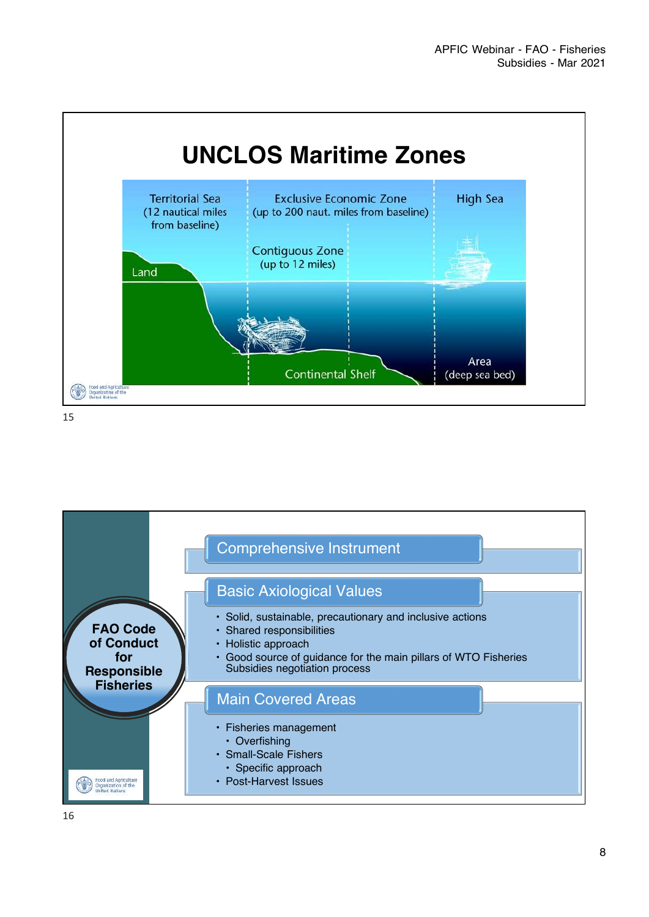

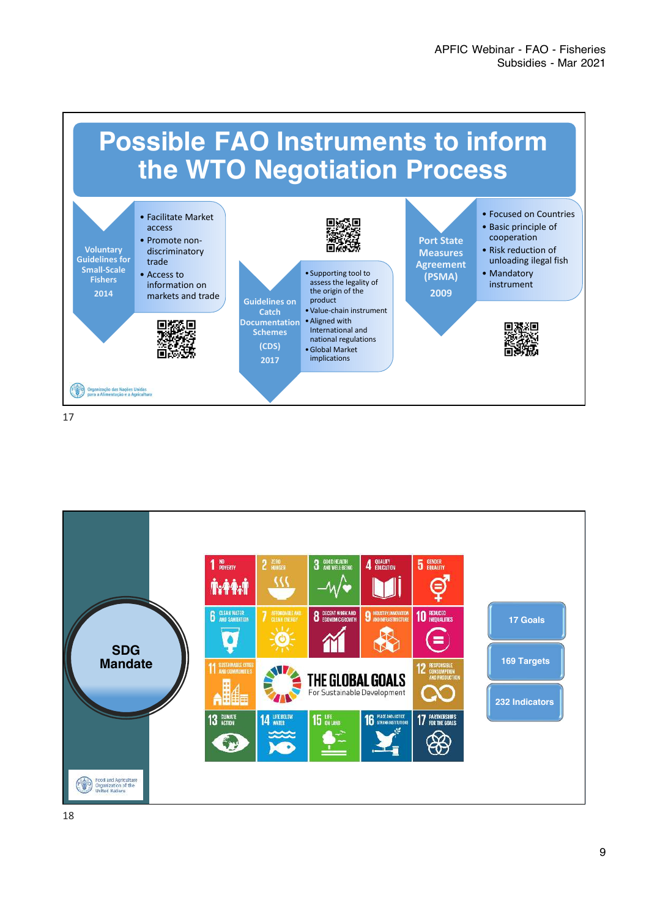

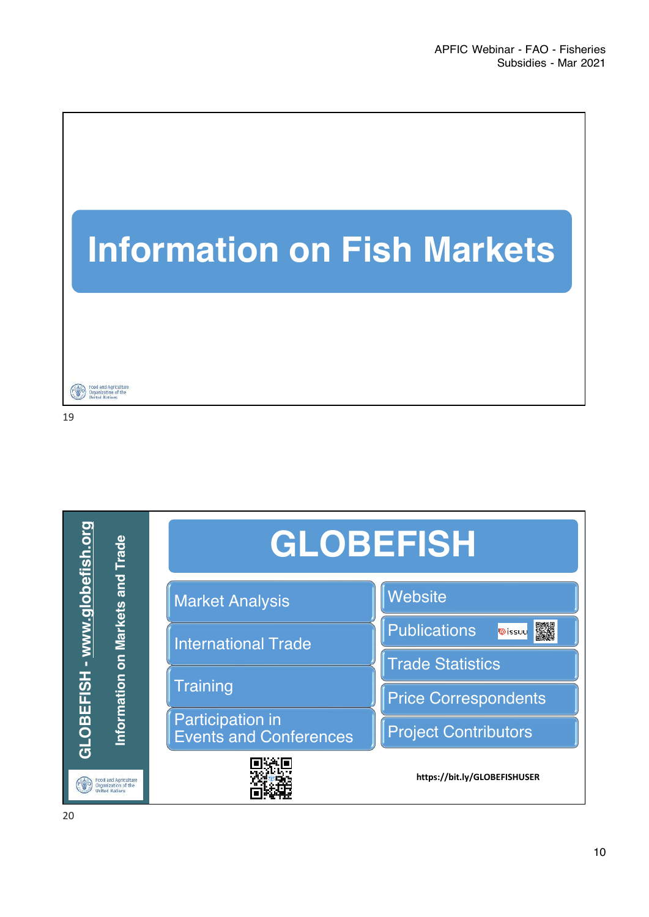